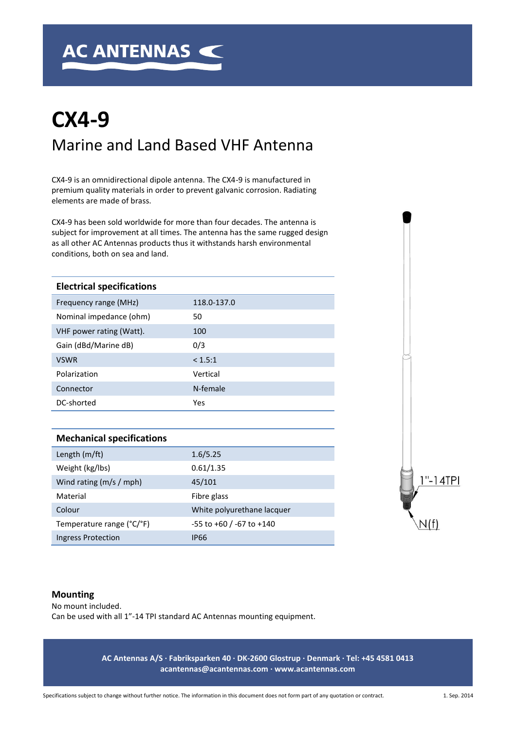# **CX4-9** Marine and Land Based VHF Antenna

CX4-9 is an omnidirectional dipole antenna. The CX4-9 is manufactured in premium quality materials in order to prevent galvanic corrosion. Radiating elements are made of brass.

CX4-9 has been sold worldwide for more than four decades. The antenna is subject for improvement at all times. The antenna has the same rugged design as all other AC Antennas products thus it withstands harsh environmental conditions, both on sea and land.

| <b>Electrical specifications</b> |             |
|----------------------------------|-------------|
| Frequency range (MHz)            | 118.0-137.0 |
| Nominal impedance (ohm)          | 50          |
| VHF power rating (Watt).         | 100         |
| Gain (dBd/Marine dB)             | 0/3         |
| <b>VSWR</b>                      | < 1.5:1     |
| Polarization                     | Vertical    |
| Connector                        | N-female    |
| DC-shorted                       | Yes         |

| <b>Mechanical specifications</b> |                                  |
|----------------------------------|----------------------------------|
| Length (m/ft)                    | 1.6/5.25                         |
| Weight (kg/lbs)                  | 0.61/1.35                        |
| Wind rating (m/s / mph)          | 45/101                           |
| Material                         | Fibre glass                      |
| Colour                           | White polyurethane lacquer       |
| Temperature range (°C/°F)        | $-55$ to $+60$ / $-67$ to $+140$ |
| Ingress Protection               | <b>IP66</b>                      |



#### **Mounting**

No mount included. Can be used with all 1"-14 TPI standard AC Antennas mounting equipment.

> **AC Antennas A/S · Fabriksparken 40 · DK-2600 Glostrup · Denmark · Tel: +45 4581 0413 acantennas@acantennas.com · www.acantennas.com**